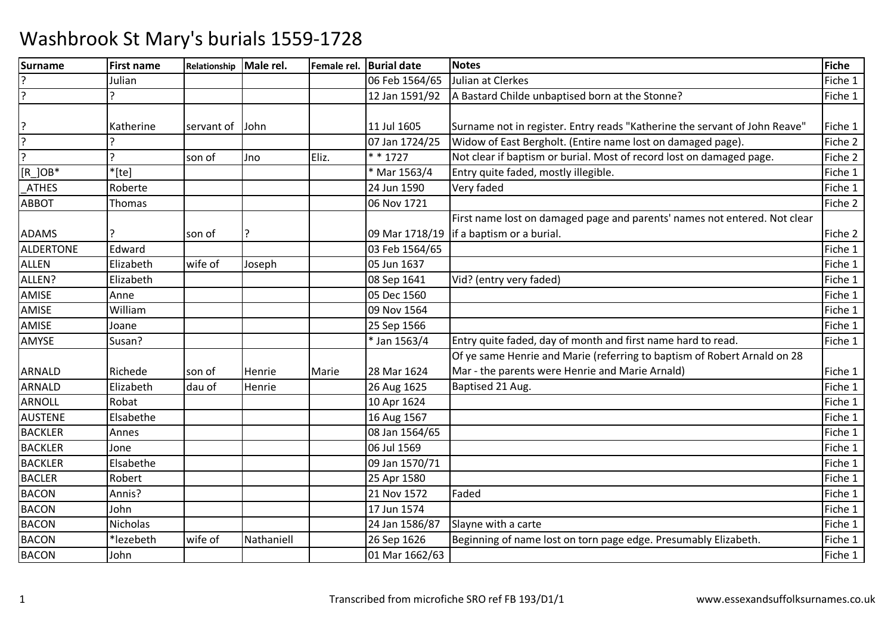| <b>Surname</b> | <b>First name</b> | Relationship | Male rel.  | Female rel. | <b>Burial date</b> | <b>Notes</b>                                                               | Fiche   |
|----------------|-------------------|--------------|------------|-------------|--------------------|----------------------------------------------------------------------------|---------|
|                | Julian            |              |            |             | 06 Feb 1564/65     | Julian at Clerkes                                                          | Fiche 1 |
| ?              |                   |              |            |             | 12 Jan 1591/92     | A Bastard Childe unbaptised born at the Stonne?                            | Fiche 1 |
|                |                   |              |            |             |                    |                                                                            |         |
| ?              | Katherine         | servant of   | John       |             | 11 Jul 1605        | Surname not in register. Entry reads "Katherine the servant of John Reave" | Fiche 1 |
| ?              |                   |              |            |             | 07 Jan 1724/25     | Widow of East Bergholt. (Entire name lost on damaged page).                | Fiche 2 |
| ?              | C                 | son of       | Jno        | Eliz.       | * * 1727           | Not clear if baptism or burial. Most of record lost on damaged page.       | Fiche 2 |
| $[R]$ OB*      | $*$ [te]          |              |            |             | * Mar 1563/4       | Entry quite faded, mostly illegible.                                       | Fiche 1 |
| <b>ATHES</b>   | Roberte           |              |            |             | 24 Jun 1590        | Very faded                                                                 | Fiche 1 |
| <b>ABBOT</b>   | <b>Thomas</b>     |              |            |             | 06 Nov 1721        |                                                                            | Fiche 2 |
|                |                   |              |            |             |                    | First name lost on damaged page and parents' names not entered. Not clear  |         |
| <b>ADAMS</b>   |                   | son of       |            |             |                    | 09 Mar 1718/19   if a baptism or a burial.                                 | Fiche 2 |
| ALDERTONE      | Edward            |              |            |             | 03 Feb 1564/65     |                                                                            | Fiche 1 |
| <b>ALLEN</b>   | Elizabeth         | wife of      | Joseph     |             | 05 Jun 1637        |                                                                            | Fiche 1 |
| ALLEN?         | Elizabeth         |              |            |             | 08 Sep 1641        | Vid? (entry very faded)                                                    | Fiche 1 |
| AMISE          | Anne              |              |            |             | 05 Dec 1560        |                                                                            | Fiche 1 |
| AMISE          | William           |              |            |             | 09 Nov 1564        |                                                                            | Fiche 1 |
| AMISE          | Joane             |              |            |             | 25 Sep 1566        |                                                                            | Fiche 1 |
| AMYSE          | Susan?            |              |            |             | * Jan 1563/4       | Entry quite faded, day of month and first name hard to read.               | Fiche 1 |
|                |                   |              |            |             |                    | Of ye same Henrie and Marie (referring to baptism of Robert Arnald on 28   |         |
| <b>ARNALD</b>  | Richede           | son of       | Henrie     | Marie       | 28 Mar 1624        | Mar - the parents were Henrie and Marie Arnald)                            | Fiche 1 |
| ARNALD         | Elizabeth         | dau of       | Henrie     |             | 26 Aug 1625        | Baptised 21 Aug.                                                           | Fiche 1 |
| ARNOLL         | Robat             |              |            |             | 10 Apr 1624        |                                                                            | Fiche 1 |
| <b>AUSTENE</b> | Elsabethe         |              |            |             | 16 Aug 1567        |                                                                            | Fiche 1 |
| <b>BACKLER</b> | Annes             |              |            |             | 08 Jan 1564/65     |                                                                            | Fiche 1 |
| <b>BACKLER</b> | Jone              |              |            |             | 06 Jul 1569        |                                                                            | Fiche 1 |
| <b>BACKLER</b> | Elsabethe         |              |            |             | 09 Jan 1570/71     |                                                                            | Fiche 1 |
| <b>BACLER</b>  | Robert            |              |            |             | 25 Apr 1580        |                                                                            | Fiche 1 |
| <b>BACON</b>   | Annis?            |              |            |             | 21 Nov 1572        | Faded                                                                      | Fiche 1 |
| <b>BACON</b>   | John              |              |            |             | 17 Jun 1574        |                                                                            | Fiche 1 |
| <b>BACON</b>   | <b>Nicholas</b>   |              |            |             | 24 Jan 1586/87     | Slayne with a carte                                                        | Fiche 1 |
| <b>BACON</b>   | *lezebeth         | wife of      | Nathaniell |             | 26 Sep 1626        | Beginning of name lost on torn page edge. Presumably Elizabeth.            | Fiche 1 |
| <b>BACON</b>   | John              |              |            |             | 01 Mar 1662/63     |                                                                            | Fiche 1 |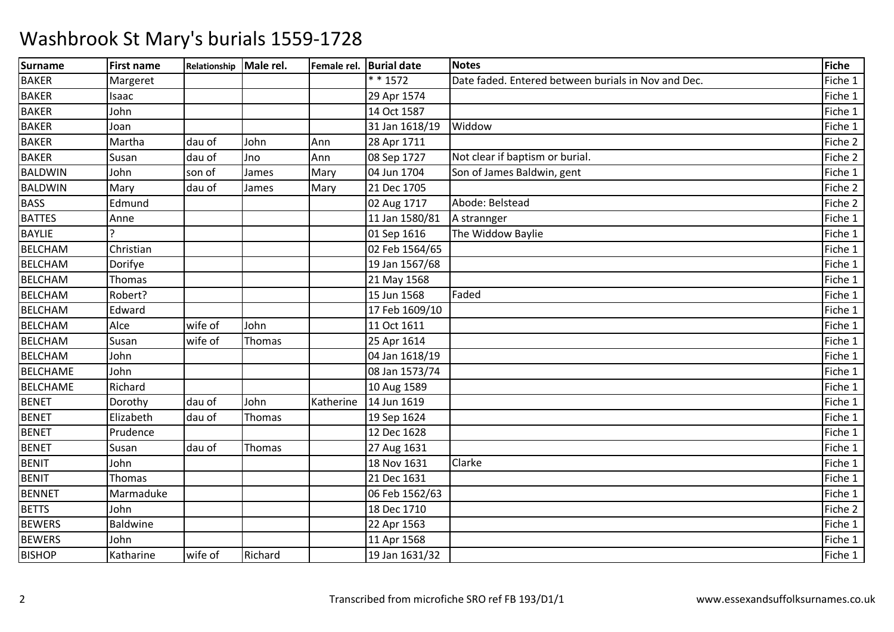| <b>Surname</b>  | <b>First name</b> | Relationship | Male rel. |           | Female rel. Burial date | <b>Notes</b>                                        | <b>Fiche</b> |
|-----------------|-------------------|--------------|-----------|-----------|-------------------------|-----------------------------------------------------|--------------|
| <b>BAKER</b>    | Margeret          |              |           |           | $* * 1572$              | Date faded. Entered between burials in Nov and Dec. | Fiche 1      |
| <b>BAKER</b>    | Isaac             |              |           |           | 29 Apr 1574             |                                                     | Fiche 1      |
| <b>BAKER</b>    | John              |              |           |           | 14 Oct 1587             |                                                     | Fiche 1      |
| <b>BAKER</b>    | Joan              |              |           |           | 31 Jan 1618/19          | Widdow                                              | Fiche 1      |
| <b>BAKER</b>    | Martha            | dau of       | John      | Ann       | 28 Apr 1711             |                                                     | Fiche 2      |
| <b>BAKER</b>    | Susan             | dau of       | Jno       | Ann       | 08 Sep 1727             | Not clear if baptism or burial.                     | Fiche 2      |
| <b>BALDWIN</b>  | John              | son of       | James     | Mary      | 04 Jun 1704             | Son of James Baldwin, gent                          | Fiche 1      |
| <b>BALDWIN</b>  | Mary              | dau of       | James     | Mary      | 21 Dec 1705             |                                                     | Fiche 2      |
| <b>BASS</b>     | Edmund            |              |           |           | 02 Aug 1717             | Abode: Belstead                                     | Fiche 2      |
| <b>BATTES</b>   | Anne              |              |           |           | 11 Jan 1580/81          | A strannger                                         | Fiche 1      |
| <b>BAYLIE</b>   |                   |              |           |           | 01 Sep 1616             | The Widdow Baylie                                   | Fiche 1      |
| <b>BELCHAM</b>  | Christian         |              |           |           | 02 Feb 1564/65          |                                                     | Fiche 1      |
| <b>BELCHAM</b>  | Dorifye           |              |           |           | 19 Jan 1567/68          |                                                     | Fiche 1      |
| <b>BELCHAM</b>  | Thomas            |              |           |           | 21 May 1568             |                                                     | Fiche 1      |
| <b>BELCHAM</b>  | Robert?           |              |           |           | 15 Jun 1568             | Faded                                               | Fiche 1      |
| <b>BELCHAM</b>  | Edward            |              |           |           | 17 Feb 1609/10          |                                                     | Fiche 1      |
| <b>BELCHAM</b>  | Alce              | wife of      | John      |           | 11 Oct 1611             |                                                     | Fiche 1      |
| <b>BELCHAM</b>  | Susan             | wife of      | Thomas    |           | 25 Apr 1614             |                                                     | Fiche 1      |
| <b>BELCHAM</b>  | John              |              |           |           | 04 Jan 1618/19          |                                                     | Fiche 1      |
| <b>BELCHAME</b> | John              |              |           |           | 08 Jan 1573/74          |                                                     | Fiche 1      |
| <b>BELCHAME</b> | Richard           |              |           |           | 10 Aug 1589             |                                                     | Fiche 1      |
| <b>BENET</b>    | Dorothy           | dau of       | John      | Katherine | 14 Jun 1619             |                                                     | Fiche 1      |
| <b>BENET</b>    | Elizabeth         | dau of       | Thomas    |           | 19 Sep 1624             |                                                     | Fiche 1      |
| <b>BENET</b>    | Prudence          |              |           |           | 12 Dec 1628             |                                                     | Fiche 1      |
| <b>BENET</b>    | Susan             | dau of       | Thomas    |           | 27 Aug 1631             |                                                     | Fiche 1      |
| <b>BENIT</b>    | John              |              |           |           | 18 Nov 1631             | Clarke                                              | Fiche 1      |
| <b>BENIT</b>    | Thomas            |              |           |           | 21 Dec 1631             |                                                     | Fiche 1      |
| <b>BENNET</b>   | Marmaduke         |              |           |           | 06 Feb 1562/63          |                                                     | Fiche 1      |
| <b>BETTS</b>    | John              |              |           |           | 18 Dec 1710             |                                                     | Fiche 2      |
| <b>BEWERS</b>   | Baldwine          |              |           |           | 22 Apr 1563             |                                                     | Fiche 1      |
| <b>BEWERS</b>   | John              |              |           |           | 11 Apr 1568             |                                                     | Fiche 1      |
| <b>BISHOP</b>   | Katharine         | wife of      | Richard   |           | 19 Jan 1631/32          |                                                     | Fiche 1      |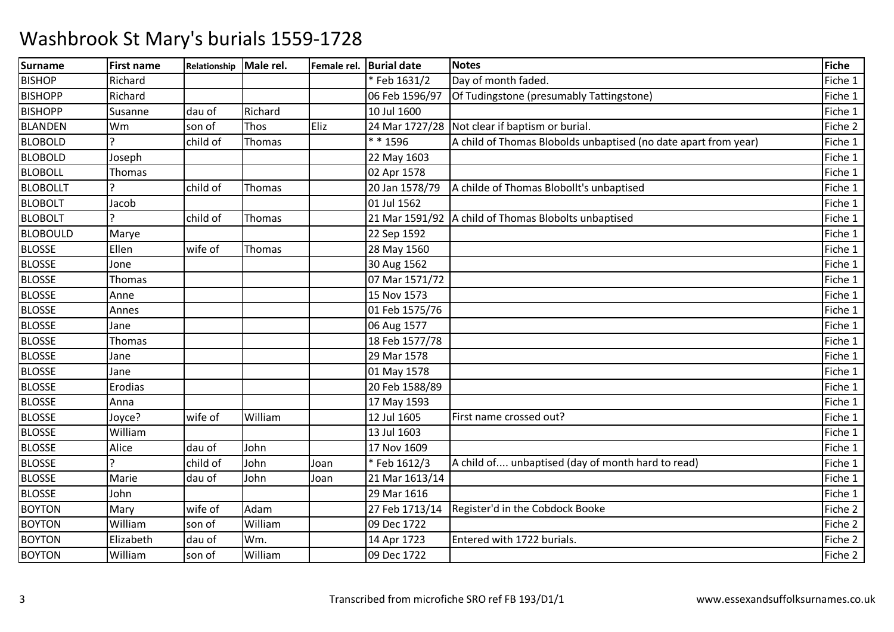| <b>Surname</b>  | <b>First name</b> | Relationship Male rel. |         |      | Female rel. Burial date | <b>Notes</b>                                                    | Fiche   |
|-----------------|-------------------|------------------------|---------|------|-------------------------|-----------------------------------------------------------------|---------|
| <b>BISHOP</b>   | Richard           |                        |         |      | *Feb 1631/2             | Day of month faded.                                             | Fiche 1 |
| <b>BISHOPP</b>  | Richard           |                        |         |      | 06 Feb 1596/97          | Of Tudingstone (presumably Tattingstone)                        | Fiche 1 |
| <b>BISHOPP</b>  | Susanne           | dau of                 | Richard |      | 10 Jul 1600             |                                                                 | Fiche 1 |
| <b>BLANDEN</b>  | Wm                | son of                 | Thos    | Eliz |                         | 24 Mar 1727/28 Not clear if baptism or burial.                  | Fiche 2 |
| <b>BLOBOLD</b>  |                   | child of               | Thomas  |      | * * 1596                | A child of Thomas Blobolds unbaptised (no date apart from year) | Fiche 1 |
| <b>BLOBOLD</b>  | Joseph            |                        |         |      | 22 May 1603             |                                                                 | Fiche 1 |
| <b>BLOBOLL</b>  | Thomas            |                        |         |      | 02 Apr 1578             |                                                                 | Fiche 1 |
| <b>BLOBOLLT</b> |                   | child of               | Thomas  |      | 20 Jan 1578/79          | A childe of Thomas Blobollt's unbaptised                        | Fiche 1 |
| <b>BLOBOLT</b>  | Jacob             |                        |         |      | 01 Jul 1562             |                                                                 | Fiche 1 |
| <b>BLOBOLT</b>  |                   | child of               | Thomas  |      |                         | 21 Mar 1591/92 A child of Thomas Blobolts unbaptised            | Fiche 1 |
| <b>BLOBOULD</b> | Marye             |                        |         |      | 22 Sep 1592             |                                                                 | Fiche 1 |
| <b>BLOSSE</b>   | Ellen             | wife of                | Thomas  |      | 28 May 1560             |                                                                 | Fiche 1 |
| <b>BLOSSE</b>   | Jone              |                        |         |      | 30 Aug 1562             |                                                                 | Fiche 1 |
| <b>BLOSSE</b>   | Thomas            |                        |         |      | 07 Mar 1571/72          |                                                                 | Fiche 1 |
| <b>BLOSSE</b>   | Anne              |                        |         |      | 15 Nov 1573             |                                                                 | Fiche 1 |
| <b>BLOSSE</b>   | Annes             |                        |         |      | 01 Feb 1575/76          |                                                                 | Fiche 1 |
| <b>BLOSSE</b>   | Jane              |                        |         |      | 06 Aug 1577             |                                                                 | Fiche 1 |
| <b>BLOSSE</b>   | <b>Thomas</b>     |                        |         |      | 18 Feb 1577/78          |                                                                 | Fiche 1 |
| <b>BLOSSE</b>   | Jane              |                        |         |      | 29 Mar 1578             |                                                                 | Fiche 1 |
| <b>BLOSSE</b>   | Jane              |                        |         |      | 01 May 1578             |                                                                 | Fiche 1 |
| <b>BLOSSE</b>   | Erodias           |                        |         |      | 20 Feb 1588/89          |                                                                 | Fiche 1 |
| <b>BLOSSE</b>   | Anna              |                        |         |      | 17 May 1593             |                                                                 | Fiche 1 |
| <b>BLOSSE</b>   | Joyce?            | wife of                | William |      | 12 Jul 1605             | First name crossed out?                                         | Fiche 1 |
| <b>BLOSSE</b>   | William           |                        |         |      | 13 Jul 1603             |                                                                 | Fiche 1 |
| <b>BLOSSE</b>   | Alice             | dau of                 | John    |      | 17 Nov 1609             |                                                                 | Fiche 1 |
| <b>BLOSSE</b>   |                   | child of               | John    | Joan | *Feb 1612/3             | A child of unbaptised (day of month hard to read)               | Fiche 1 |
| <b>BLOSSE</b>   | Marie             | dau of                 | John    | Joan | 21 Mar 1613/14          |                                                                 | Fiche 1 |
| <b>BLOSSE</b>   | John              |                        |         |      | 29 Mar 1616             |                                                                 | Fiche 1 |
| <b>BOYTON</b>   | Mary              | wife of                | Adam    |      | 27 Feb 1713/14          | Register'd in the Cobdock Booke                                 | Fiche 2 |
| <b>BOYTON</b>   | William           | son of                 | William |      | 09 Dec 1722             |                                                                 | Fiche 2 |
| <b>BOYTON</b>   | Elizabeth         | dau of                 | Wm.     |      | 14 Apr 1723             | Entered with 1722 burials.                                      | Fiche 2 |
| <b>BOYTON</b>   | William           | son of                 | William |      | 09 Dec 1722             |                                                                 | Fiche 2 |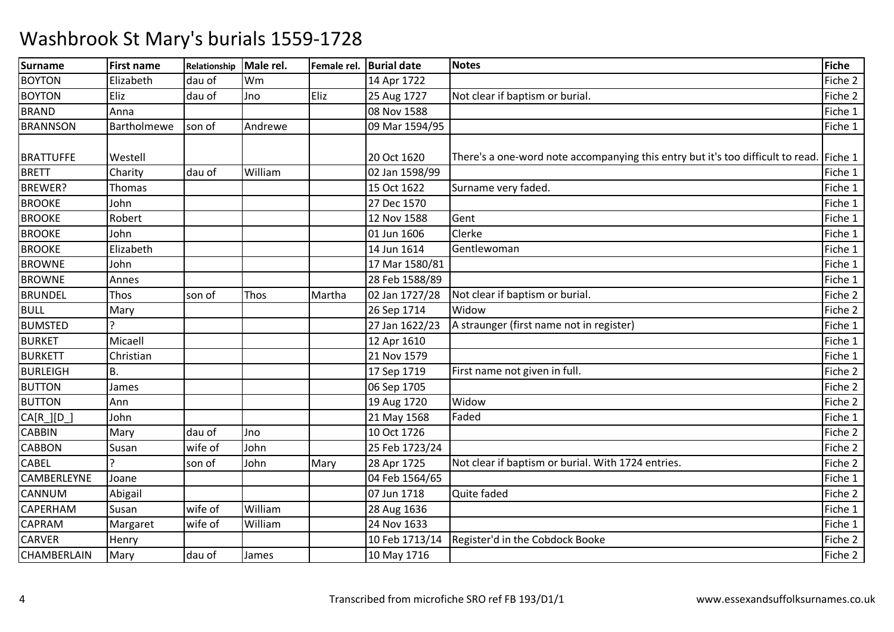| <b>Surname</b>   | <b>First name</b> | Relationship | Male rel. | Female rel. | <b>Burial date</b> | <b>Notes</b>                                                                            | <b>Fiche</b> |
|------------------|-------------------|--------------|-----------|-------------|--------------------|-----------------------------------------------------------------------------------------|--------------|
| <b>BOYTON</b>    | Elizabeth         | dau of       | Wm        |             | 14 Apr 1722        |                                                                                         | Fiche 2      |
| <b>BOYTON</b>    | Eliz              | dau of       | Jno       | Eliz        | 25 Aug 1727        | Not clear if baptism or burial.                                                         | Fiche 2      |
| <b>BRAND</b>     | Anna              |              |           |             | 08 Nov 1588        |                                                                                         | Fiche 1      |
| <b>BRANNSON</b>  | Bartholmewe       | son of       | Andrewe   |             | 09 Mar 1594/95     |                                                                                         | Fiche 1      |
|                  |                   |              |           |             |                    |                                                                                         |              |
| <b>BRATTUFFE</b> | Westell           |              |           |             | 20 Oct 1620        | There's a one-word note accompanying this entry but it's too difficult to read. Fiche 1 |              |
| <b>BRETT</b>     | Charity           | dau of       | William   |             | 02 Jan 1598/99     |                                                                                         | Fiche 1      |
| BREWER?          | Thomas            |              |           |             | 15 Oct 1622        | Surname very faded.                                                                     | Fiche 1      |
| <b>BROOKE</b>    | John              |              |           |             | 27 Dec 1570        |                                                                                         | Fiche 1      |
| <b>BROOKE</b>    | Robert            |              |           |             | 12 Nov 1588        | Gent                                                                                    | Fiche 1      |
| <b>BROOKE</b>    | John              |              |           |             | 01 Jun 1606        | Clerke                                                                                  | Fiche 1      |
| <b>BROOKE</b>    | Elizabeth         |              |           |             | 14 Jun 1614        | Gentlewoman                                                                             | Fiche 1      |
| <b>BROWNE</b>    | John              |              |           |             | 17 Mar 1580/81     |                                                                                         | Fiche 1      |
| <b>BROWNE</b>    | Annes             |              |           |             | 28 Feb 1588/89     |                                                                                         | Fiche 1      |
| <b>BRUNDEL</b>   | Thos              | son of       | Thos      | Martha      | 02 Jan 1727/28     | Not clear if baptism or burial.                                                         | Fiche 2      |
| <b>BULL</b>      | Mary              |              |           |             | 26 Sep 1714        | Widow                                                                                   | Fiche 2      |
| <b>BUMSTED</b>   |                   |              |           |             | 27 Jan 1622/23     | A straunger (first name not in register)                                                | Fiche 1      |
| <b>BURKET</b>    | Micaell           |              |           |             | 12 Apr 1610        |                                                                                         | Fiche 1      |
| <b>BURKETT</b>   | Christian         |              |           |             | 21 Nov 1579        |                                                                                         | Fiche 1      |
| <b>BURLEIGH</b>  | В.                |              |           |             | 17 Sep 1719        | First name not given in full.                                                           | Fiche 2      |
| <b>BUTTON</b>    | James             |              |           |             | 06 Sep 1705        |                                                                                         | Fiche 2      |
| <b>BUTTON</b>    | Ann               |              |           |             | 19 Aug 1720        | Widow                                                                                   | Fiche 2      |
| CA[R_][D_        | John              |              |           |             | 21 May 1568        | Faded                                                                                   | Fiche 1      |
| <b>CABBIN</b>    | Mary              | dau of       | Jno       |             | 10 Oct 1726        |                                                                                         | Fiche 2      |
| <b>CABBON</b>    | Susan             | wife of      | John      |             | 25 Feb 1723/24     |                                                                                         | Fiche 2      |
| <b>CABEL</b>     |                   | son of       | John      | Mary        | 28 Apr 1725        | Not clear if baptism or burial. With 1724 entries.                                      | Fiche 2      |
| CAMBERLEYNE      | Joane             |              |           |             | 04 Feb 1564/65     |                                                                                         | Fiche 1      |
| <b>CANNUM</b>    | Abigail           |              |           |             | 07 Jun 1718        | Quite faded                                                                             | Fiche 2      |
| <b>CAPERHAM</b>  | Susan             | wife of      | William   |             | 28 Aug 1636        |                                                                                         | Fiche 1      |
| <b>CAPRAM</b>    | Margaret          | wife of      | William   |             | 24 Nov 1633        |                                                                                         | Fiche 1      |
| <b>CARVER</b>    | Henry             |              |           |             |                    | 10 Feb 1713/14   Register'd in the Cobdock Booke                                        | Fiche 2      |
| CHAMBERLAIN      | Mary              | dau of       | James     |             | 10 May 1716        |                                                                                         | Fiche 2      |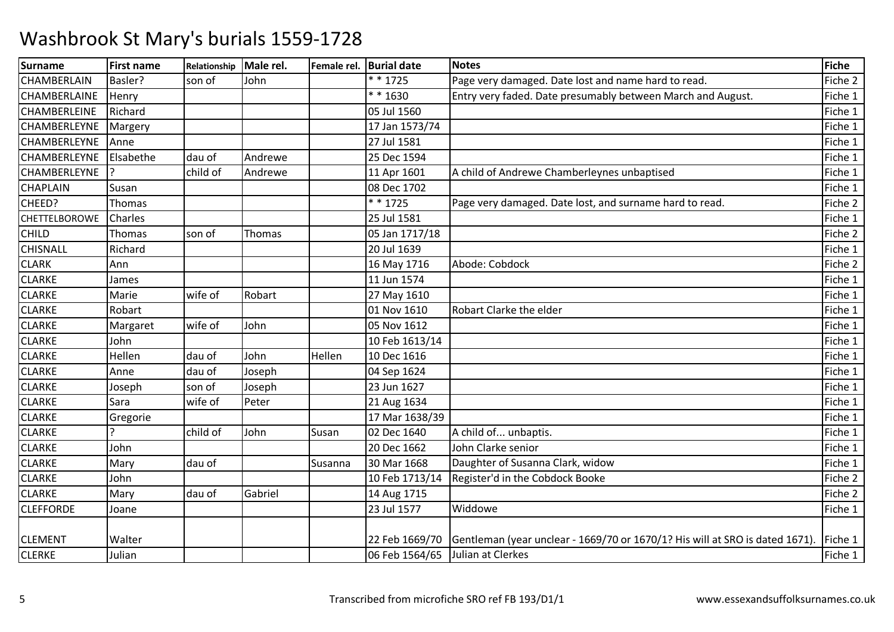| <b>Surname</b>       | <b>First name</b> | Relationship | Male rel. | Female rel. | <b>Burial date</b>               | <b>Notes</b>                                                                                | <b>Fiche</b> |
|----------------------|-------------------|--------------|-----------|-------------|----------------------------------|---------------------------------------------------------------------------------------------|--------------|
| <b>CHAMBERLAIN</b>   | Basler?           | son of       | John      |             | * * 1725                         | Page very damaged. Date lost and name hard to read.                                         | Fiche 2      |
| <b>CHAMBERLAINE</b>  | Henry             |              |           |             | ** 1630                          | Entry very faded. Date presumably between March and August.                                 | Fiche 1      |
| <b>CHAMBERLEINE</b>  | Richard           |              |           |             | 05 Jul 1560                      |                                                                                             | Fiche 1      |
| CHAMBERLEYNE         | Margery           |              |           |             | 17 Jan 1573/74                   |                                                                                             | Fiche 1      |
| <b>CHAMBERLEYNE</b>  | Anne              |              |           |             | 27 Jul 1581                      |                                                                                             | Fiche 1      |
| <b>CHAMBERLEYNE</b>  | Elsabethe         | dau of       | Andrewe   |             | 25 Dec 1594                      |                                                                                             | Fiche 1      |
| <b>CHAMBERLEYNE</b>  |                   | child of     | Andrewe   |             | 11 Apr 1601                      | A child of Andrewe Chamberleynes unbaptised                                                 | Fiche 1      |
| <b>CHAPLAIN</b>      | Susan             |              |           |             | 08 Dec 1702                      |                                                                                             | Fiche 1      |
| CHEED?               | <b>Thomas</b>     |              |           |             | $* * 1725$                       | Page very damaged. Date lost, and surname hard to read.                                     | Fiche 2      |
| <b>CHETTELBOROWE</b> | Charles           |              |           |             | 25 Jul 1581                      |                                                                                             | Fiche 1      |
| <b>CHILD</b>         | Thomas            | son of       | Thomas    |             | 05 Jan 1717/18                   |                                                                                             | Fiche 2      |
| <b>CHISNALL</b>      | Richard           |              |           |             | 20 Jul 1639                      |                                                                                             | Fiche 1      |
| <b>CLARK</b>         | Ann               |              |           |             | 16 May 1716                      | Abode: Cobdock                                                                              | Fiche 2      |
| <b>CLARKE</b>        | James             |              |           |             | 11 Jun 1574                      |                                                                                             | Fiche 1      |
| <b>CLARKE</b>        | Marie             | wife of      | Robart    |             | 27 May 1610                      |                                                                                             | Fiche 1      |
| <b>CLARKE</b>        | Robart            |              |           |             | 01 Nov 1610                      | Robart Clarke the elder                                                                     | Fiche 1      |
| <b>CLARKE</b>        | Margaret          | wife of      | John      |             | 05 Nov 1612                      |                                                                                             | Fiche 1      |
| <b>CLARKE</b>        | John              |              |           |             | 10 Feb 1613/14                   |                                                                                             | Fiche 1      |
| <b>CLARKE</b>        | Hellen            | dau of       | John      | Hellen      | 10 Dec 1616                      |                                                                                             | Fiche 1      |
| <b>CLARKE</b>        | Anne              | dau of       | Joseph    |             | 04 Sep 1624                      |                                                                                             | Fiche 1      |
| <b>CLARKE</b>        | Joseph            | son of       | Joseph    |             | 23 Jun 1627                      |                                                                                             | Fiche 1      |
| <b>CLARKE</b>        | Sara              | wife of      | Peter     |             | 21 Aug 1634                      |                                                                                             | Fiche 1      |
| <b>CLARKE</b>        | Gregorie          |              |           |             | 17 Mar 1638/39                   |                                                                                             | Fiche 1      |
| <b>CLARKE</b>        |                   | child of     | John      | Susan       | 02 Dec 1640                      | A child of unbaptis.                                                                        | Fiche 1      |
| <b>CLARKE</b>        | John              |              |           |             | 20 Dec 1662                      | John Clarke senior                                                                          | Fiche 1      |
| <b>CLARKE</b>        | Mary              | dau of       |           | Susanna     | 30 Mar 1668                      | Daughter of Susanna Clark, widow                                                            | Fiche 1      |
| <b>CLARKE</b>        | John              |              |           |             | 10 Feb 1713/14                   | Register'd in the Cobdock Booke                                                             | Fiche 2      |
| <b>CLARKE</b>        | Mary              | dau of       | Gabriel   |             | 14 Aug 1715                      |                                                                                             | Fiche 2      |
| <b>CLEFFORDE</b>     | Joane             |              |           |             | 23 Jul 1577                      | Widdowe                                                                                     | Fiche 1      |
|                      |                   |              |           |             |                                  |                                                                                             |              |
| <b>CLEMENT</b>       | Walter            |              |           |             |                                  | 22 Feb 1669/70 Gentleman (year unclear - 1669/70 or 1670/1? His will at SRO is dated 1671). | Fiche 1      |
| <b>CLERKE</b>        | Julian            |              |           |             | 06 Feb 1564/65 Julian at Clerkes |                                                                                             | Fiche 1      |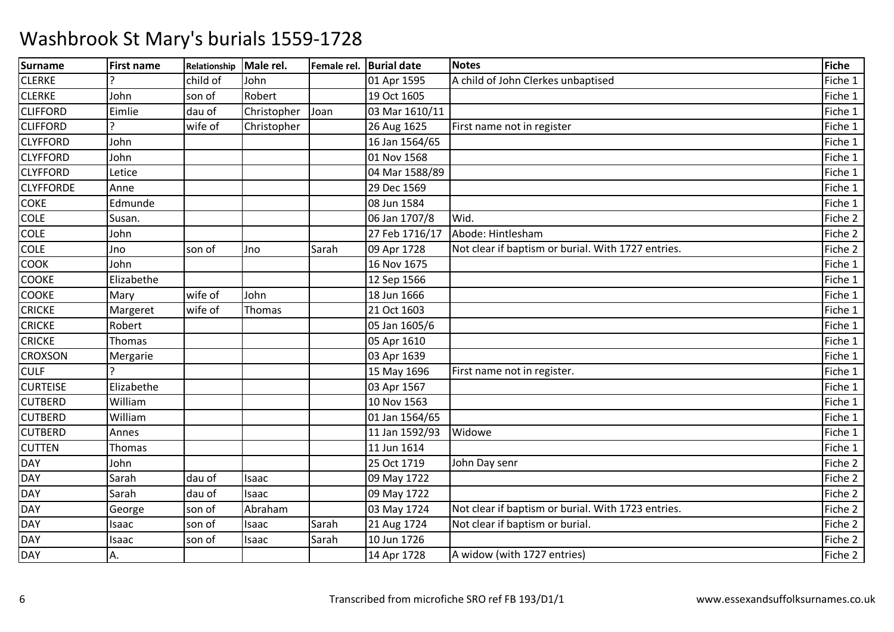| <b>Surname</b>   | <b>First name</b> | Relationship | Male rel.   | Female rel. Burial date |                | <b>Notes</b>                                       | <b>Fiche</b> |
|------------------|-------------------|--------------|-------------|-------------------------|----------------|----------------------------------------------------|--------------|
| <b>CLERKE</b>    |                   | child of     | John        |                         | 01 Apr 1595    | A child of John Clerkes unbaptised                 | Fiche 1      |
| <b>CLERKE</b>    | John              | son of       | Robert      |                         | 19 Oct 1605    |                                                    | Fiche 1      |
| <b>CLIFFORD</b>  | Eimlie            | dau of       | Christopher | Joan                    | 03 Mar 1610/11 |                                                    | Fiche 1      |
| <b>CLIFFORD</b>  |                   | wife of      | Christopher |                         | 26 Aug 1625    | First name not in register                         | Fiche 1      |
| <b>CLYFFORD</b>  | John              |              |             |                         | 16 Jan 1564/65 |                                                    | Fiche 1      |
| <b>CLYFFORD</b>  | John              |              |             |                         | 01 Nov 1568    |                                                    | Fiche 1      |
| <b>CLYFFORD</b>  | Letice            |              |             |                         | 04 Mar 1588/89 |                                                    | Fiche 1      |
| <b>CLYFFORDE</b> | Anne              |              |             |                         | 29 Dec 1569    |                                                    | Fiche 1      |
| <b>COKE</b>      | Edmunde           |              |             |                         | 08 Jun 1584    |                                                    | Fiche 1      |
| <b>COLE</b>      | Susan.            |              |             |                         | 06 Jan 1707/8  | Wid.                                               | Fiche 2      |
| <b>COLE</b>      | John              |              |             |                         | 27 Feb 1716/17 | Abode: Hintlesham                                  | Fiche 2      |
| <b>COLE</b>      | Jno               | son of       | Jno         | Sarah                   | 09 Apr 1728    | Not clear if baptism or burial. With 1727 entries. | Fiche 2      |
| <b>COOK</b>      | John              |              |             |                         | 16 Nov 1675    |                                                    | Fiche 1      |
| COOKE            | Elizabethe        |              |             |                         | 12 Sep 1566    |                                                    | Fiche 1      |
| <b>COOKE</b>     | Mary              | wife of      | John        |                         | 18 Jun 1666    |                                                    | Fiche 1      |
| <b>CRICKE</b>    | Margeret          | wife of      | Thomas      |                         | 21 Oct 1603    |                                                    | Fiche 1      |
| <b>CRICKE</b>    | Robert            |              |             |                         | 05 Jan 1605/6  |                                                    | Fiche 1      |
| <b>CRICKE</b>    | Thomas            |              |             |                         | 05 Apr 1610    |                                                    | Fiche 1      |
| <b>CROXSON</b>   | Mergarie          |              |             |                         | 03 Apr 1639    |                                                    | Fiche 1      |
| <b>CULF</b>      |                   |              |             |                         | 15 May 1696    | First name not in register.                        | Fiche 1      |
| <b>CURTEISE</b>  | Elizabethe        |              |             |                         | 03 Apr 1567    |                                                    | Fiche 1      |
| <b>CUTBERD</b>   | William           |              |             |                         | 10 Nov 1563    |                                                    | Fiche 1      |
| <b>CUTBERD</b>   | William           |              |             |                         | 01 Jan 1564/65 |                                                    | Fiche 1      |
| <b>CUTBERD</b>   | Annes             |              |             |                         | 11 Jan 1592/93 | Widowe                                             | Fiche 1      |
| <b>CUTTEN</b>    | Thomas            |              |             |                         | 11 Jun 1614    |                                                    | Fiche 1      |
| <b>DAY</b>       | John              |              |             |                         | 25 Oct 1719    | John Day senr                                      | Fiche 2      |
| <b>DAY</b>       | Sarah             | dau of       | Isaac       |                         | 09 May 1722    |                                                    | Fiche 2      |
| DAY              | Sarah             | dau of       | Isaac       |                         | 09 May 1722    |                                                    | Fiche 2      |
| <b>DAY</b>       | George            | son of       | Abraham     |                         | 03 May 1724    | Not clear if baptism or burial. With 1723 entries. | Fiche 2      |
| DAY              | Isaac             | son of       | Isaac       | Sarah                   | 21 Aug 1724    | Not clear if baptism or burial.                    | Fiche 2      |
| <b>DAY</b>       | Isaac             | son of       | Isaac       | Sarah                   | 10 Jun 1726    |                                                    | Fiche 2      |
| <b>DAY</b>       | А.                |              |             |                         | 14 Apr 1728    | A widow (with 1727 entries)                        | Fiche 2      |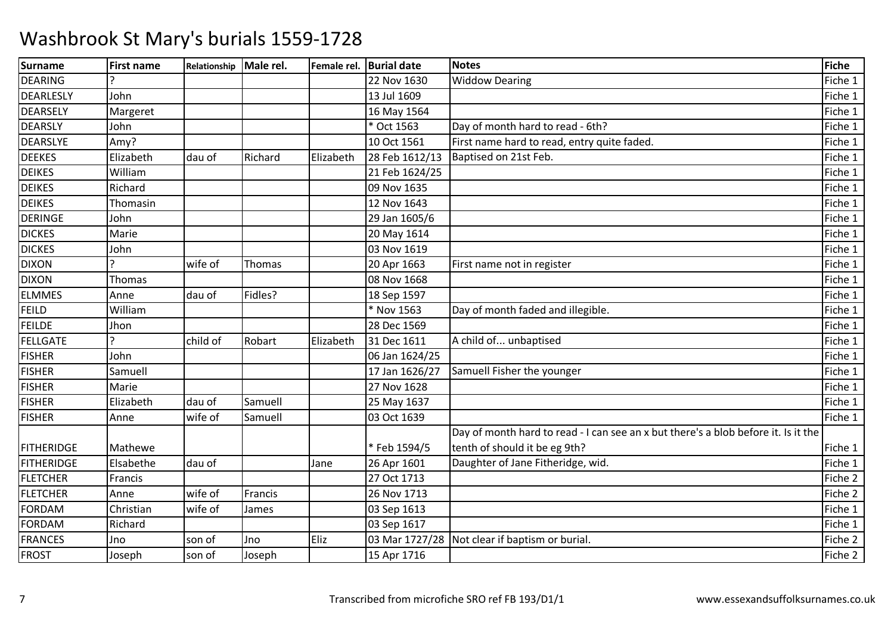| <b>Surname</b>    | <b>First name</b> | Relationship | Male rel. | Female rel. | <b>Burial date</b> | <b>Notes</b>                                                                       | Fiche   |
|-------------------|-------------------|--------------|-----------|-------------|--------------------|------------------------------------------------------------------------------------|---------|
| <b>DEARING</b>    |                   |              |           |             | 22 Nov 1630        | <b>Widdow Dearing</b>                                                              | Fiche 1 |
| DEARLESLY         | John              |              |           |             | 13 Jul 1609        |                                                                                    | Fiche 1 |
| <b>DEARSELY</b>   | Margeret          |              |           |             | 16 May 1564        |                                                                                    | Fiche 1 |
| <b>DEARSLY</b>    | John              |              |           |             | * Oct 1563         | Day of month hard to read - 6th?                                                   | Fiche 1 |
| <b>DEARSLYE</b>   | Amy?              |              |           |             | 10 Oct 1561        | First name hard to read, entry quite faded.                                        | Fiche 1 |
| <b>DEEKES</b>     | Elizabeth         | dau of       | Richard   | Elizabeth   | 28 Feb 1612/13     | Baptised on 21st Feb.                                                              | Fiche 1 |
| <b>DEIKES</b>     | William           |              |           |             | 21 Feb 1624/25     |                                                                                    | Fiche 1 |
| <b>DEIKES</b>     | Richard           |              |           |             | 09 Nov 1635        |                                                                                    | Fiche 1 |
| <b>DEIKES</b>     | Thomasin          |              |           |             | 12 Nov 1643        |                                                                                    | Fiche 1 |
| <b>DERINGE</b>    | John              |              |           |             | 29 Jan 1605/6      |                                                                                    | Fiche 1 |
| <b>DICKES</b>     | Marie             |              |           |             | 20 May 1614        |                                                                                    | Fiche 1 |
| <b>DICKES</b>     | John              |              |           |             | 03 Nov 1619        |                                                                                    | Fiche 1 |
| <b>DIXON</b>      |                   | wife of      | Thomas    |             | 20 Apr 1663        | First name not in register                                                         | Fiche 1 |
| <b>DIXON</b>      | Thomas            |              |           |             | 08 Nov 1668        |                                                                                    | Fiche 1 |
| <b>ELMMES</b>     | Anne              | dau of       | Fidles?   |             | 18 Sep 1597        |                                                                                    | Fiche 1 |
| <b>FEILD</b>      | William           |              |           |             | * Nov 1563         | Day of month faded and illegible.                                                  | Fiche 1 |
| <b>FEILDE</b>     | Jhon              |              |           |             | 28 Dec 1569        |                                                                                    | Fiche 1 |
| <b>FELLGATE</b>   | $\mathbf{C}$      | child of     | Robart    | Elizabeth   | 31 Dec 1611        | A child of unbaptised                                                              | Fiche 1 |
| <b>FISHER</b>     | John              |              |           |             | 06 Jan 1624/25     |                                                                                    | Fiche 1 |
| <b>FISHER</b>     | Samuell           |              |           |             | 17 Jan 1626/27     | Samuell Fisher the younger                                                         | Fiche 1 |
| <b>FISHER</b>     | Marie             |              |           |             | 27 Nov 1628        |                                                                                    | Fiche 1 |
| <b>FISHER</b>     | Elizabeth         | dau of       | Samuell   |             | 25 May 1637        |                                                                                    | Fiche 1 |
| <b>FISHER</b>     | Anne              | wife of      | Samuell   |             | 03 Oct 1639        |                                                                                    | Fiche 1 |
|                   |                   |              |           |             |                    | Day of month hard to read - I can see an x but there's a blob before it. Is it the |         |
| <b>FITHERIDGE</b> | Mathewe           |              |           |             | * Feb 1594/5       | tenth of should it be eg 9th?                                                      | Fiche 1 |
| <b>FITHERIDGE</b> | Elsabethe         | dau of       |           | Jane        | 26 Apr 1601        | Daughter of Jane Fitheridge, wid.                                                  | Fiche 1 |
| <b>FLETCHER</b>   | Francis           |              |           |             | 27 Oct 1713        |                                                                                    | Fiche 2 |
| <b>FLETCHER</b>   | Anne              | wife of      | Francis   |             | 26 Nov 1713        |                                                                                    | Fiche 2 |
| <b>FORDAM</b>     | Christian         | wife of      | James     |             | 03 Sep 1613        |                                                                                    | Fiche 1 |
| <b>FORDAM</b>     | Richard           |              |           |             | 03 Sep 1617        |                                                                                    | Fiche 1 |
| <b>FRANCES</b>    | Jno               | son of       | Jno       | Eliz        | 03 Mar 1727/28     | Not clear if baptism or burial.                                                    | Fiche 2 |
| <b>FROST</b>      | Joseph            | son of       | Joseph    |             | 15 Apr 1716        |                                                                                    | Fiche 2 |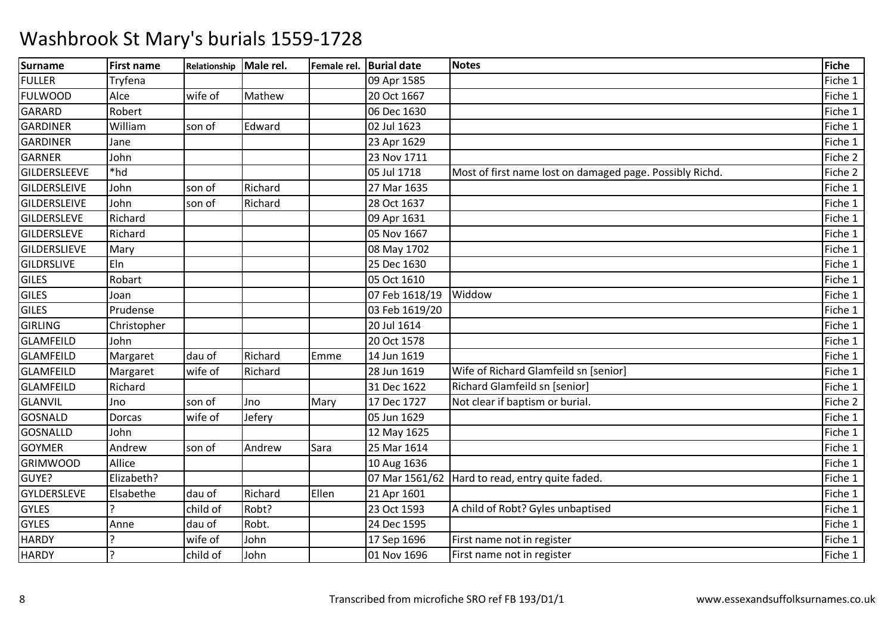| <b>Surname</b>      | <b>First name</b> | Relationship | Male rel. |       | Female rel. Burial date | <b>Notes</b>                                             | Fiche   |
|---------------------|-------------------|--------------|-----------|-------|-------------------------|----------------------------------------------------------|---------|
| <b>FULLER</b>       | Tryfena           |              |           |       | 09 Apr 1585             |                                                          | Fiche 1 |
| <b>FULWOOD</b>      | Alce              | wife of      | Mathew    |       | 20 Oct 1667             |                                                          | Fiche 1 |
| <b>GARARD</b>       | Robert            |              |           |       | 06 Dec 1630             |                                                          | Fiche 1 |
| <b>GARDINER</b>     | William           | son of       | Edward    |       | 02 Jul 1623             |                                                          | Fiche 1 |
| <b>GARDINER</b>     | Jane              |              |           |       | 23 Apr 1629             |                                                          | Fiche 1 |
| <b>GARNER</b>       | John              |              |           |       | 23 Nov 1711             |                                                          | Fiche 2 |
| <b>GILDERSLEEVE</b> | *hd               |              |           |       | 05 Jul 1718             | Most of first name lost on damaged page. Possibly Richd. | Fiche 2 |
| <b>GILDERSLEIVE</b> | John              | son of       | Richard   |       | 27 Mar 1635             |                                                          | Fiche 1 |
| <b>GILDERSLEIVE</b> | John              | son of       | Richard   |       | 28 Oct 1637             |                                                          | Fiche 1 |
| GILDERSLEVE         | Richard           |              |           |       | 09 Apr 1631             |                                                          | Fiche 1 |
| <b>GILDERSLEVE</b>  | Richard           |              |           |       | 05 Nov 1667             |                                                          | Fiche 1 |
| <b>GILDERSLIEVE</b> | Mary              |              |           |       | 08 May 1702             |                                                          | Fiche 1 |
| <b>GILDRSLIVE</b>   | Eln               |              |           |       | 25 Dec 1630             |                                                          | Fiche 1 |
| <b>GILES</b>        | Robart            |              |           |       | 05 Oct 1610             |                                                          | Fiche 1 |
| <b>GILES</b>        | Joan              |              |           |       | 07 Feb 1618/19 Widdow   |                                                          | Fiche 1 |
| <b>GILES</b>        | Prudense          |              |           |       | 03 Feb 1619/20          |                                                          | Fiche 1 |
| <b>GIRLING</b>      | Christopher       |              |           |       | 20 Jul 1614             |                                                          | Fiche 1 |
| <b>GLAMFEILD</b>    | John              |              |           |       | 20 Oct 1578             |                                                          | Fiche 1 |
| <b>GLAMFEILD</b>    | Margaret          | dau of       | Richard   | Emme  | 14 Jun 1619             |                                                          | Fiche 1 |
| <b>GLAMFEILD</b>    | Margaret          | wife of      | Richard   |       | 28 Jun 1619             | Wife of Richard Glamfeild sn [senior]                    | Fiche 1 |
| <b>GLAMFEILD</b>    | Richard           |              |           |       | 31 Dec 1622             | Richard Glamfeild sn [senior]                            | Fiche 1 |
| <b>GLANVIL</b>      | Jno               | son of       | Jno       | Mary  | 17 Dec 1727             | Not clear if baptism or burial.                          | Fiche 2 |
| <b>GOSNALD</b>      | Dorcas            | wife of      | Jefery    |       | 05 Jun 1629             |                                                          | Fiche 1 |
| <b>GOSNALLD</b>     | John              |              |           |       | 12 May 1625             |                                                          | Fiche 1 |
| <b>GOYMER</b>       | Andrew            | son of       | Andrew    | Sara  | 25 Mar 1614             |                                                          | Fiche 1 |
| <b>GRIMWOOD</b>     | Allice            |              |           |       | 10 Aug 1636             |                                                          | Fiche 1 |
| GUYE?               | Elizabeth?        |              |           |       |                         | 07 Mar 1561/62   Hard to read, entry quite faded.        | Fiche 1 |
| <b>GYLDERSLEVE</b>  | Elsabethe         | dau of       | Richard   | Ellen | 21 Apr 1601             |                                                          | Fiche 1 |
| <b>GYLES</b>        |                   | child of     | Robt?     |       | 23 Oct 1593             | A child of Robt? Gyles unbaptised                        | Fiche 1 |
| <b>GYLES</b>        | Anne              | dau of       | Robt.     |       | 24 Dec 1595             |                                                          | Fiche 1 |
| <b>HARDY</b>        |                   | wife of      | John      |       | 17 Sep 1696             | First name not in register                               | Fiche 1 |
| <b>HARDY</b>        |                   | child of     | John      |       | 01 Nov 1696             | First name not in register                               | Fiche 1 |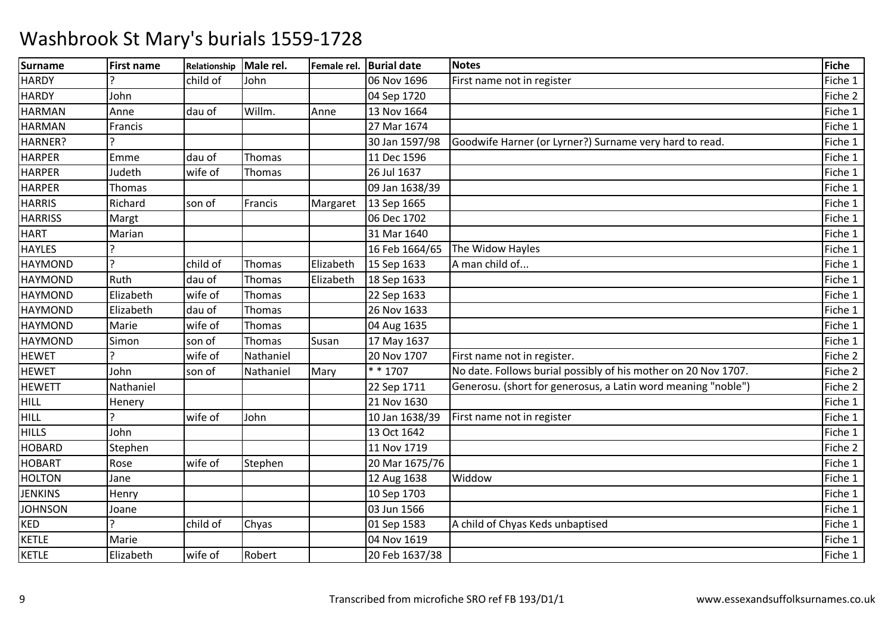| <b>Surname</b> | <b>First name</b> | Relationship | Male rel. |           | Female rel. Burial date | <b>Notes</b>                                                   | <b>Fiche</b> |
|----------------|-------------------|--------------|-----------|-----------|-------------------------|----------------------------------------------------------------|--------------|
| <b>HARDY</b>   |                   | child of     | John      |           | 06 Nov 1696             | First name not in register                                     | Fiche 1      |
| <b>HARDY</b>   | John              |              |           |           | 04 Sep 1720             |                                                                | Fiche 2      |
| <b>HARMAN</b>  | Anne              | dau of       | Willm.    | Anne      | 13 Nov 1664             |                                                                | Fiche 1      |
| <b>HARMAN</b>  | Francis           |              |           |           | 27 Mar 1674             |                                                                | Fiche 1      |
| HARNER?        |                   |              |           |           | 30 Jan 1597/98          | Goodwife Harner (or Lyrner?) Surname very hard to read.        | Fiche 1      |
| <b>HARPER</b>  | Emme              | dau of       | Thomas    |           | 11 Dec 1596             |                                                                | Fiche 1      |
| <b>HARPER</b>  | Judeth            | wife of      | Thomas    |           | 26 Jul 1637             |                                                                | Fiche 1      |
| <b>HARPER</b>  | Thomas            |              |           |           | 09 Jan 1638/39          |                                                                | Fiche 1      |
| <b>HARRIS</b>  | Richard           | son of       | Francis   | Margaret  | 13 Sep 1665             |                                                                | Fiche 1      |
| <b>HARRISS</b> | Margt             |              |           |           | 06 Dec 1702             |                                                                | Fiche 1      |
| <b>HART</b>    | Marian            |              |           |           | 31 Mar 1640             |                                                                | Fiche 1      |
| <b>HAYLES</b>  |                   |              |           |           | 16 Feb 1664/65          | The Widow Hayles                                               | Fiche 1      |
| <b>HAYMOND</b> | $\mathcal{P}$     | child of     | Thomas    | Elizabeth | 15 Sep 1633             | A man child of                                                 | Fiche 1      |
| <b>HAYMOND</b> | Ruth              | dau of       | Thomas    | Elizabeth | 18 Sep 1633             |                                                                | Fiche 1      |
| <b>HAYMOND</b> | Elizabeth         | wife of      | Thomas    |           | 22 Sep 1633             |                                                                | Fiche 1      |
| <b>HAYMOND</b> | Elizabeth         | dau of       | Thomas    |           | 26 Nov 1633             |                                                                | Fiche 1      |
| <b>HAYMOND</b> | Marie             | wife of      | Thomas    |           | 04 Aug 1635             |                                                                | Fiche 1      |
| <b>HAYMOND</b> | Simon             | son of       | Thomas    | Susan     | 17 May 1637             |                                                                | Fiche 1      |
| <b>HEWET</b>   |                   | wife of      | Nathaniel |           | 20 Nov 1707             | First name not in register.                                    | Fiche 2      |
| <b>HEWET</b>   | John              | son of       | Nathaniel | Mary      | * * 1707                | No date. Follows burial possibly of his mother on 20 Nov 1707. | Fiche 2      |
| <b>HEWETT</b>  | Nathaniel         |              |           |           | 22 Sep 1711             | Generosu. (short for generosus, a Latin word meaning "noble")  | Fiche 2      |
| <b>HILL</b>    | Henery            |              |           |           | 21 Nov 1630             |                                                                | Fiche 1      |
| <b>HILL</b>    |                   | wife of      | John      |           | 10 Jan 1638/39          | First name not in register                                     | Fiche 1      |
| <b>HILLS</b>   | John              |              |           |           | 13 Oct 1642             |                                                                | Fiche 1      |
| <b>HOBARD</b>  | Stephen           |              |           |           | 11 Nov 1719             |                                                                | Fiche 2      |
| <b>HOBART</b>  | Rose              | wife of      | Stephen   |           | 20 Mar 1675/76          |                                                                | Fiche 1      |
| <b>HOLTON</b>  | Jane              |              |           |           | 12 Aug 1638             | Widdow                                                         | Fiche 1      |
| <b>JENKINS</b> | Henry             |              |           |           | 10 Sep 1703             |                                                                | Fiche 1      |
| <b>JOHNSON</b> | Joane             |              |           |           | 03 Jun 1566             |                                                                | Fiche 1      |
| <b>KED</b>     |                   | child of     | Chyas     |           | 01 Sep 1583             | A child of Chyas Keds unbaptised                               | Fiche 1      |
| <b>KETLE</b>   | Marie             |              |           |           | 04 Nov 1619             |                                                                | Fiche 1      |
| <b>KETLE</b>   | Elizabeth         | wife of      | Robert    |           | 20 Feb 1637/38          |                                                                | Fiche 1      |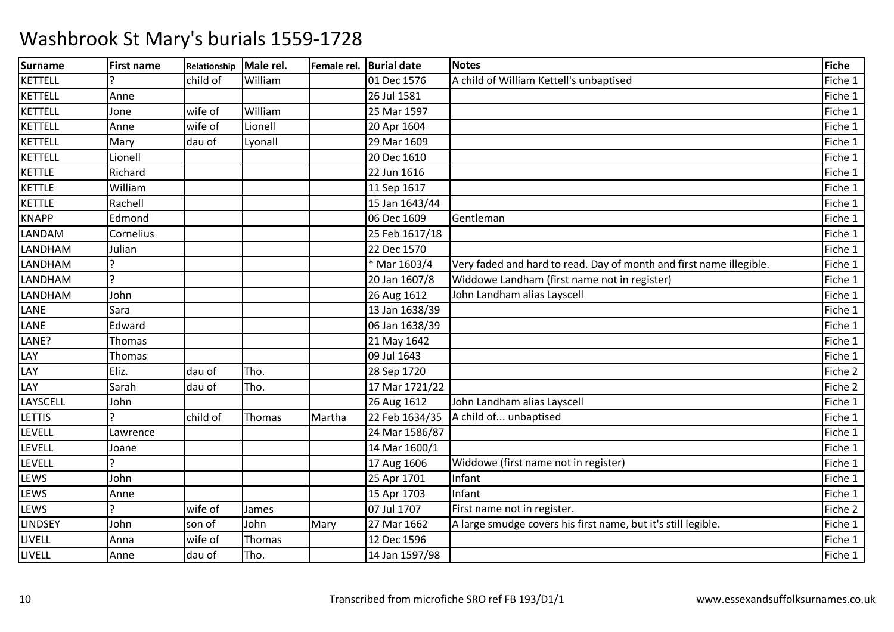| <b>Surname</b> | <b>First name</b> | Relationship | Male rel. |        | Female rel. Burial date | <b>Notes</b>                                                        | Fiche   |
|----------------|-------------------|--------------|-----------|--------|-------------------------|---------------------------------------------------------------------|---------|
| <b>KETTELL</b> |                   | child of     | William   |        | 01 Dec 1576             | A child of William Kettell's unbaptised                             | Fiche 1 |
| <b>KETTELL</b> | Anne              |              |           |        | 26 Jul 1581             |                                                                     | Fiche 1 |
| <b>KETTELL</b> | Jone              | wife of      | William   |        | 25 Mar 1597             |                                                                     | Fiche 1 |
| <b>KETTELL</b> | Anne              | wife of      | Lionell   |        | 20 Apr 1604             |                                                                     | Fiche 1 |
| <b>KETTELL</b> | Mary              | dau of       | Lyonall   |        | 29 Mar 1609             |                                                                     | Fiche 1 |
| <b>KETTELL</b> | Lionell           |              |           |        | 20 Dec 1610             |                                                                     | Fiche 1 |
| <b>KETTLE</b>  | Richard           |              |           |        | 22 Jun 1616             |                                                                     | Fiche 1 |
| <b>KETTLE</b>  | William           |              |           |        | 11 Sep 1617             |                                                                     | Fiche 1 |
| <b>KETTLE</b>  | Rachell           |              |           |        | 15 Jan 1643/44          |                                                                     | Fiche 1 |
| <b>KNAPP</b>   | Edmond            |              |           |        | 06 Dec 1609             | Gentleman                                                           | Fiche 1 |
| LANDAM         | Cornelius         |              |           |        | 25 Feb 1617/18          |                                                                     | Fiche 1 |
| LANDHAM        | Julian            |              |           |        | 22 Dec 1570             |                                                                     | Fiche 1 |
| LANDHAM        |                   |              |           |        | * Mar 1603/4            | Very faded and hard to read. Day of month and first name illegible. | Fiche 1 |
| LANDHAM        | C                 |              |           |        | 20 Jan 1607/8           | Widdowe Landham (first name not in register)                        | Fiche 1 |
| LANDHAM        | John              |              |           |        | 26 Aug 1612             | John Landham alias Layscell                                         | Fiche 1 |
| LANE           | Sara              |              |           |        | 13 Jan 1638/39          |                                                                     | Fiche 1 |
| LANE           | Edward            |              |           |        | 06 Jan 1638/39          |                                                                     | Fiche 1 |
| LANE?          | Thomas            |              |           |        | 21 May 1642             |                                                                     | Fiche 1 |
| LAY            | Thomas            |              |           |        | 09 Jul 1643             |                                                                     | Fiche 1 |
| LAY            | Eliz.             | dau of       | Tho.      |        | 28 Sep 1720             |                                                                     | Fiche 2 |
| LAY            | Sarah             | dau of       | Tho.      |        | 17 Mar 1721/22          |                                                                     | Fiche 2 |
| LAYSCELL       | John              |              |           |        | 26 Aug 1612             | John Landham alias Layscell                                         | Fiche 1 |
| LETTIS         |                   | child of     | Thomas    | Martha | 22 Feb 1634/35          | A child of unbaptised                                               | Fiche 1 |
| LEVELL         | Lawrence          |              |           |        | 24 Mar 1586/87          |                                                                     | Fiche 1 |
| LEVELL         | Joane             |              |           |        | 14 Mar 1600/1           |                                                                     | Fiche 1 |
| LEVELL         |                   |              |           |        | 17 Aug 1606             | Widdowe (first name not in register)                                | Fiche 1 |
| LEWS           | John              |              |           |        | 25 Apr 1701             | Infant                                                              | Fiche 1 |
| LEWS           | Anne              |              |           |        | 15 Apr 1703             | Infant                                                              | Fiche 1 |
| LEWS           | C                 | wife of      | James     |        | 07 Jul 1707             | First name not in register.                                         | Fiche 2 |
| <b>LINDSEY</b> | John              | son of       | John      | Mary   | 27 Mar 1662             | A large smudge covers his first name, but it's still legible.       | Fiche 1 |
| LIVELL         | Anna              | wife of      | Thomas    |        | 12 Dec 1596             |                                                                     | Fiche 1 |
| LIVELL         | Anne              | dau of       | Tho.      |        | 14 Jan 1597/98          |                                                                     | Fiche 1 |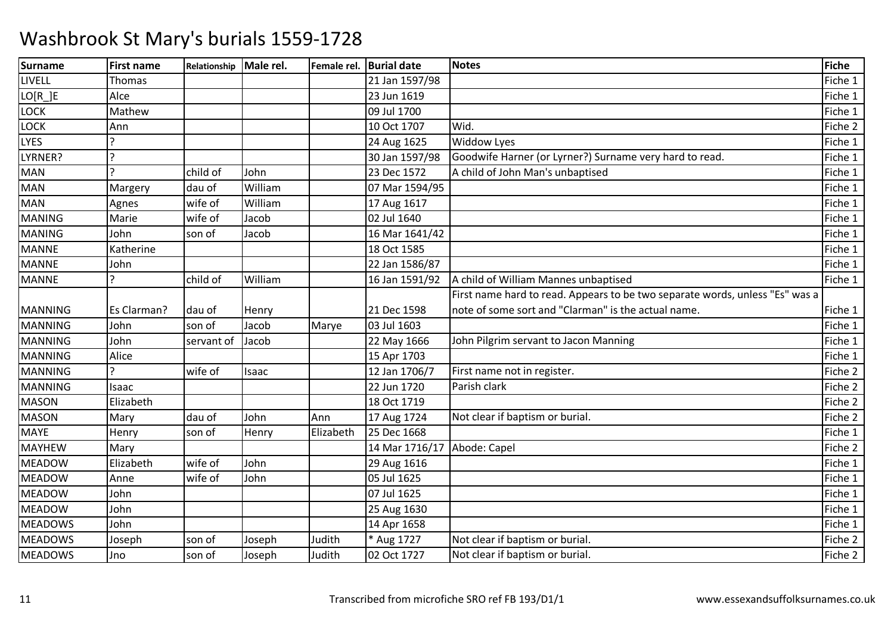| <b>Surname</b> | <b>First name</b> | Relationship Male rel. |         |           | Female rel. Burial date     | <b>Notes</b>                                                                 | Fiche   |
|----------------|-------------------|------------------------|---------|-----------|-----------------------------|------------------------------------------------------------------------------|---------|
| LIVELL         | <b>Thomas</b>     |                        |         |           | 21 Jan 1597/98              |                                                                              | Fiche 1 |
| $LO[R_]E$      | Alce              |                        |         |           | 23 Jun 1619                 |                                                                              | Fiche 1 |
| LOCK           | Mathew            |                        |         |           | 09 Jul 1700                 |                                                                              | Fiche 1 |
| LOCK           | Ann               |                        |         |           | 10 Oct 1707                 | Wid.                                                                         | Fiche 2 |
| LYES           |                   |                        |         |           | 24 Aug 1625                 | Widdow Lyes                                                                  | Fiche 1 |
| LYRNER?        |                   |                        |         |           | 30 Jan 1597/98              | Goodwife Harner (or Lyrner?) Surname very hard to read.                      | Fiche 1 |
| <b>MAN</b>     |                   | child of               | John    |           | 23 Dec 1572                 | A child of John Man's unbaptised                                             | Fiche 1 |
| <b>MAN</b>     | Margery           | dau of                 | William |           | 07 Mar 1594/95              |                                                                              | Fiche 1 |
| <b>MAN</b>     | Agnes             | wife of                | William |           | 17 Aug 1617                 |                                                                              | Fiche 1 |
| <b>MANING</b>  | Marie             | wife of                | Jacob   |           | 02 Jul 1640                 |                                                                              | Fiche 1 |
| <b>MANING</b>  | John              | son of                 | Jacob   |           | 16 Mar 1641/42              |                                                                              | Fiche 1 |
| <b>MANNE</b>   | Katherine         |                        |         |           | 18 Oct 1585                 |                                                                              | Fiche 1 |
| <b>MANNE</b>   | John              |                        |         |           | 22 Jan 1586/87              |                                                                              | Fiche 1 |
| <b>MANNE</b>   |                   | child of               | William |           | 16 Jan 1591/92              | A child of William Mannes unbaptised                                         | Fiche 1 |
|                |                   |                        |         |           |                             | First name hard to read. Appears to be two separate words, unless "Es" was a |         |
| <b>MANNING</b> | Es Clarman?       | dau of                 | Henry   |           | 21 Dec 1598                 | note of some sort and "Clarman" is the actual name.                          | Fiche 1 |
| <b>MANNING</b> | John              | son of                 | Jacob   | Marye     | 03 Jul 1603                 |                                                                              | Fiche 1 |
| <b>MANNING</b> | John              | servant of             | Jacob   |           | 22 May 1666                 | John Pilgrim servant to Jacon Manning                                        | Fiche 1 |
| <b>MANNING</b> | Alice             |                        |         |           | 15 Apr 1703                 |                                                                              | Fiche 1 |
| <b>MANNING</b> |                   | wife of                | Isaac   |           | 12 Jan 1706/7               | First name not in register.                                                  | Fiche 2 |
| <b>MANNING</b> | Isaac             |                        |         |           | 22 Jun 1720                 | Parish clark                                                                 | Fiche 2 |
| <b>MASON</b>   | Elizabeth         |                        |         |           | 18 Oct 1719                 |                                                                              | Fiche 2 |
| <b>MASON</b>   | Mary              | dau of                 | John    | Ann       | 17 Aug 1724                 | Not clear if baptism or burial.                                              | Fiche 2 |
| <b>MAYE</b>    | Henry             | son of                 | Henry   | Elizabeth | 25 Dec 1668                 |                                                                              | Fiche 1 |
| <b>MAYHEW</b>  | Mary              |                        |         |           | 14 Mar 1716/17 Abode: Capel |                                                                              | Fiche 2 |
| <b>MEADOW</b>  | Elizabeth         | wife of                | John    |           | 29 Aug 1616                 |                                                                              | Fiche 1 |
| <b>MEADOW</b>  | Anne              | wife of                | John    |           | 05 Jul 1625                 |                                                                              | Fiche 1 |
| <b>MEADOW</b>  | John              |                        |         |           | 07 Jul 1625                 |                                                                              | Fiche 1 |
| <b>MEADOW</b>  | John              |                        |         |           | 25 Aug 1630                 |                                                                              | Fiche 1 |
| <b>MEADOWS</b> | John              |                        |         |           | 14 Apr 1658                 |                                                                              | Fiche 1 |
| <b>MEADOWS</b> | Joseph            | son of                 | Joseph  | Judith    | * Aug 1727                  | Not clear if baptism or burial.                                              | Fiche 2 |
| <b>MEADOWS</b> | Jno               | son of                 | Joseph  | Judith    | 02 Oct 1727                 | Not clear if baptism or burial.                                              | Fiche 2 |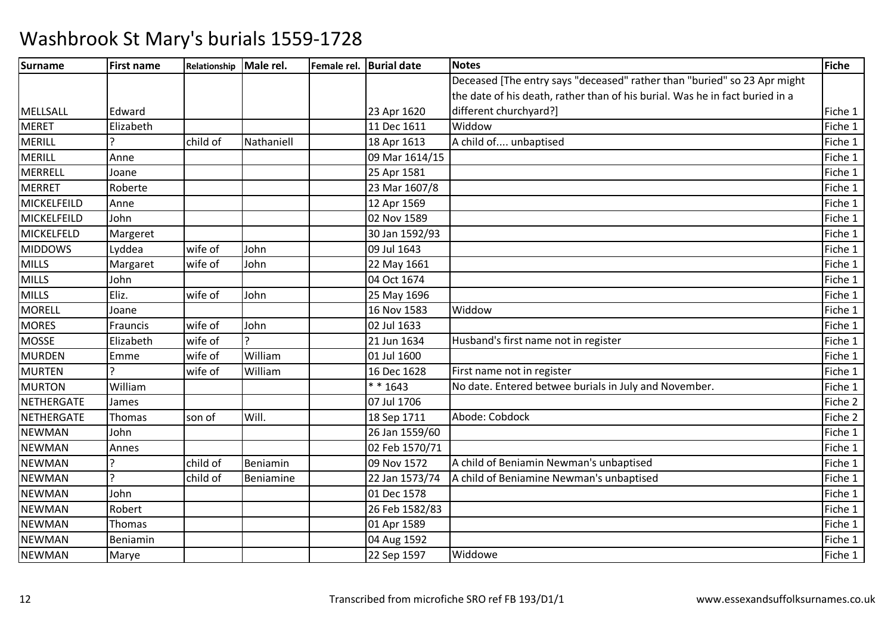| <b>Surname</b>  | <b>First name</b> | Relationship | Male rel.  | Female rel. Burial date | <b>Notes</b>                                                                 | <b>Fiche</b> |
|-----------------|-------------------|--------------|------------|-------------------------|------------------------------------------------------------------------------|--------------|
|                 |                   |              |            |                         | Deceased [The entry says "deceased" rather than "buried" so 23 Apr might     |              |
|                 |                   |              |            |                         | the date of his death, rather than of his burial. Was he in fact buried in a |              |
| <b>MELLSALL</b> | Edward            |              |            | 23 Apr 1620             | different churchyard?]                                                       | Fiche 1      |
| <b>MERET</b>    | Elizabeth         |              |            | 11 Dec 1611             | Widdow                                                                       | Fiche 1      |
| <b>MERILL</b>   |                   | child of     | Nathaniell | 18 Apr 1613             | A child of unbaptised                                                        | Fiche 1      |
| <b>MERILL</b>   | Anne              |              |            | 09 Mar 1614/15          |                                                                              | Fiche 1      |
| MERRELL         | Joane             |              |            | 25 Apr 1581             |                                                                              | Fiche 1      |
| <b>MERRET</b>   | Roberte           |              |            | 23 Mar 1607/8           |                                                                              | Fiche 1      |
| MICKELFEILD     | Anne              |              |            | 12 Apr 1569             |                                                                              | Fiche 1      |
| MICKELFEILD     | John              |              |            | 02 Nov 1589             |                                                                              | Fiche 1      |
| MICKELFELD      | Margeret          |              |            | 30 Jan 1592/93          |                                                                              | Fiche 1      |
| <b>MIDDOWS</b>  | Lyddea            | wife of      | John       | 09 Jul 1643             |                                                                              | Fiche 1      |
| <b>MILLS</b>    | Margaret          | wife of      | John       | 22 May 1661             |                                                                              | Fiche 1      |
| <b>MILLS</b>    | John              |              |            | 04 Oct 1674             |                                                                              | Fiche 1      |
| <b>MILLS</b>    | Eliz.             | wife of      | John       | 25 May 1696             |                                                                              | Fiche 1      |
| <b>MORELL</b>   | Joane             |              |            | 16 Nov 1583             | Widdow                                                                       | Fiche 1      |
| <b>MORES</b>    | Frauncis          | wife of      | John       | 02 Jul 1633             |                                                                              | Fiche 1      |
| <b>MOSSE</b>    | Elizabeth         | wife of      | ς          | 21 Jun 1634             | Husband's first name not in register                                         | Fiche 1      |
| <b>MURDEN</b>   | Emme              | wife of      | William    | 01 Jul 1600             |                                                                              | Fiche 1      |
| <b>MURTEN</b>   |                   | wife of      | William    | 16 Dec 1628             | First name not in register                                                   | Fiche 1      |
| <b>MURTON</b>   | William           |              |            | $* * 1643$              | No date. Entered betwee burials in July and November.                        | Fiche 1      |
| NETHERGATE      | James             |              |            | 07 Jul 1706             |                                                                              | Fiche 2      |
| NETHERGATE      | Thomas            | son of       | Will.      | 18 Sep 1711             | Abode: Cobdock                                                               | Fiche 2      |
| <b>NEWMAN</b>   | John              |              |            | 26 Jan 1559/60          |                                                                              | Fiche 1      |
| <b>NEWMAN</b>   | Annes             |              |            | 02 Feb 1570/71          |                                                                              | Fiche 1      |
| <b>NEWMAN</b>   |                   | child of     | Beniamin   | 09 Nov 1572             | A child of Beniamin Newman's unbaptised                                      | Fiche 1      |
| <b>NEWMAN</b>   |                   | child of     | Beniamine  | 22 Jan 1573/74          | A child of Beniamine Newman's unbaptised                                     | Fiche 1      |
| <b>NEWMAN</b>   | John              |              |            | 01 Dec 1578             |                                                                              | Fiche 1      |
| <b>NEWMAN</b>   | Robert            |              |            | 26 Feb 1582/83          |                                                                              | Fiche 1      |
| <b>NEWMAN</b>   | Thomas            |              |            | 01 Apr 1589             |                                                                              | Fiche 1      |
| <b>NEWMAN</b>   | Beniamin          |              |            | 04 Aug 1592             |                                                                              | Fiche 1      |
| <b>NEWMAN</b>   | Marye             |              |            | 22 Sep 1597             | Widdowe                                                                      | Fiche 1      |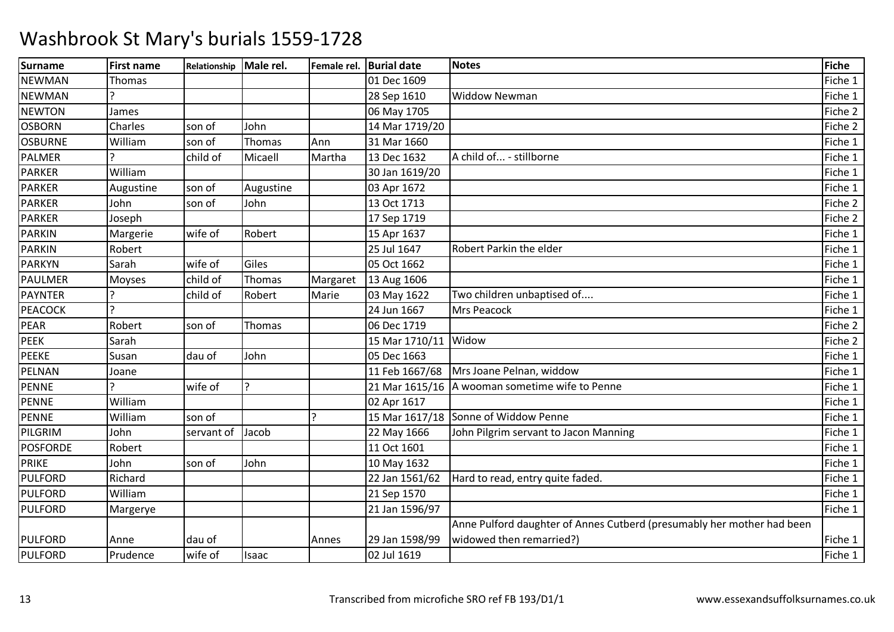| <b>Surname</b>  | <b>First name</b> | Relationship Male rel. |                |          | Female rel. Burial date | <b>Notes</b>                                                           | <b>Fiche</b> |
|-----------------|-------------------|------------------------|----------------|----------|-------------------------|------------------------------------------------------------------------|--------------|
| <b>NEWMAN</b>   | Thomas            |                        |                |          | 01 Dec 1609             |                                                                        | Fiche 1      |
| <b>NEWMAN</b>   |                   |                        |                |          | 28 Sep 1610             | <b>Widdow Newman</b>                                                   | Fiche 1      |
| <b>NEWTON</b>   | James             |                        |                |          | 06 May 1705             |                                                                        | Fiche 2      |
| <b>OSBORN</b>   | Charles           | son of                 | John           |          | 14 Mar 1719/20          |                                                                        | Fiche 2      |
| <b>OSBURNE</b>  | William           | son of                 | Thomas         | Ann      | 31 Mar 1660             |                                                                        | Fiche 1      |
| <b>PALMER</b>   |                   | child of               | Micaell        | Martha   | 13 Dec 1632             | A child of - stillborne                                                | Fiche 1      |
| <b>PARKER</b>   | William           |                        |                |          | 30 Jan 1619/20          |                                                                        | Fiche 1      |
| <b>PARKER</b>   | Augustine         | son of                 | Augustine      |          | 03 Apr 1672             |                                                                        | Fiche 1      |
| <b>PARKER</b>   | John              | son of                 | John           |          | 13 Oct 1713             |                                                                        | Fiche 2      |
| <b>PARKER</b>   | Joseph            |                        |                |          | 17 Sep 1719             |                                                                        | Fiche 2      |
| <b>PARKIN</b>   | Margerie          | wife of                | Robert         |          | 15 Apr 1637             |                                                                        | Fiche 1      |
| <b>PARKIN</b>   | Robert            |                        |                |          | 25 Jul 1647             | Robert Parkin the elder                                                | Fiche 1      |
| <b>PARKYN</b>   | Sarah             | wife of                | Giles          |          | 05 Oct 1662             |                                                                        | Fiche 1      |
| <b>PAULMER</b>  | Moyses            | child of               | Thomas         | Margaret | 13 Aug 1606             |                                                                        | Fiche 1      |
| <b>PAYNTER</b>  |                   | child of               | Robert         | Marie    | 03 May 1622             | Two children unbaptised of                                             | Fiche 1      |
| <b>PEACOCK</b>  |                   |                        |                |          | 24 Jun 1667             | <b>Mrs Peacock</b>                                                     | Fiche 1      |
| <b>PEAR</b>     | Robert            | son of                 | Thomas         |          | 06 Dec 1719             |                                                                        | Fiche 2      |
| PEEK            | Sarah             |                        |                |          | 15 Mar 1710/11 Widow    |                                                                        | Fiche 2      |
| <b>PEEKE</b>    | Susan             | dau of                 | John           |          | 05 Dec 1663             |                                                                        | Fiche 1      |
| PELNAN          | Joane             |                        |                |          | 11 Feb 1667/68          | Mrs Joane Pelnan, widdow                                               | Fiche 1      |
| <b>PENNE</b>    | $\mathbf{C}$      | wife of                | $\overline{a}$ |          |                         | 21 Mar 1615/16   A wooman sometime wife to Penne                       | Fiche 1      |
| <b>PENNE</b>    | William           |                        |                |          | 02 Apr 1617             |                                                                        | Fiche 1      |
| <b>PENNE</b>    | William           | son of                 |                |          |                         | 15 Mar 1617/18 Sonne of Widdow Penne                                   | Fiche 1      |
| PILGRIM         | John              | servant of             | Jacob          |          | 22 May 1666             | John Pilgrim servant to Jacon Manning                                  | Fiche 1      |
| <b>POSFORDE</b> | Robert            |                        |                |          | 11 Oct 1601             |                                                                        | Fiche 1      |
| <b>PRIKE</b>    | John              | son of                 | John           |          | 10 May 1632             |                                                                        | Fiche 1      |
| <b>PULFORD</b>  | Richard           |                        |                |          | 22 Jan 1561/62          | Hard to read, entry quite faded.                                       | Fiche 1      |
| <b>PULFORD</b>  | William           |                        |                |          | 21 Sep 1570             |                                                                        | Fiche 1      |
| <b>PULFORD</b>  | Margerye          |                        |                |          | 21 Jan 1596/97          |                                                                        | Fiche 1      |
|                 |                   |                        |                |          |                         | Anne Pulford daughter of Annes Cutberd (presumably her mother had been |              |
| <b>PULFORD</b>  | Anne              | dau of                 |                | Annes    | 29 Jan 1598/99          | widowed then remarried?)                                               | Fiche 1      |
| <b>PULFORD</b>  | Prudence          | wife of                | Isaac          |          | 02 Jul 1619             |                                                                        | Fiche 1      |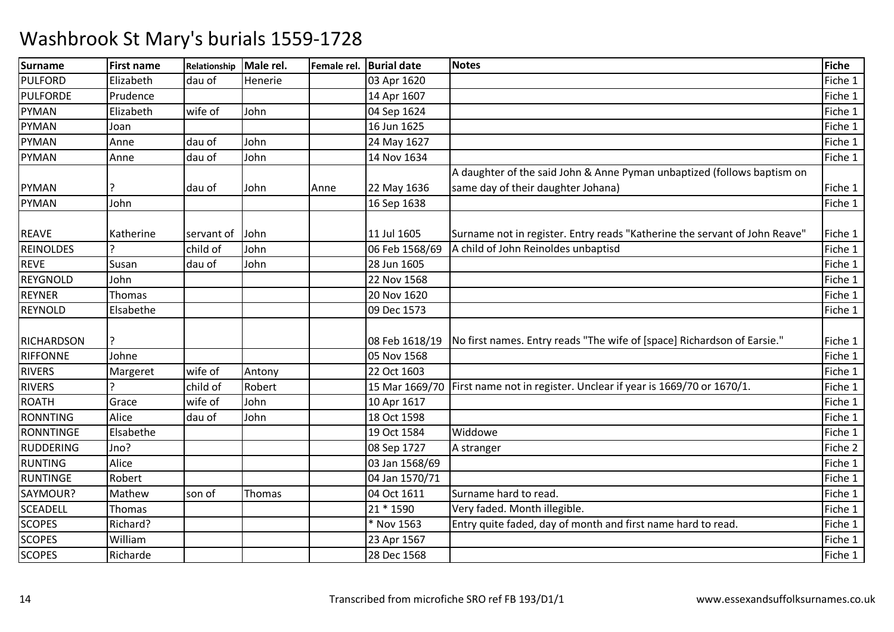| <b>Surname</b>    | <b>First name</b> | Relationship | Male rel. | Female rel. | <b>Burial date</b> | <b>Notes</b>                                                                       | Fiche   |
|-------------------|-------------------|--------------|-----------|-------------|--------------------|------------------------------------------------------------------------------------|---------|
| <b>PULFORD</b>    | Elizabeth         | dau of       | Henerie   |             | 03 Apr 1620        |                                                                                    | Fiche 1 |
| <b>PULFORDE</b>   | Prudence          |              |           |             | 14 Apr 1607        |                                                                                    | Fiche 1 |
| PYMAN             | Elizabeth         | wife of      | John      |             | 04 Sep 1624        |                                                                                    | Fiche 1 |
| <b>PYMAN</b>      | Joan              |              |           |             | 16 Jun 1625        |                                                                                    | Fiche 1 |
| <b>PYMAN</b>      | Anne              | dau of       | John      |             | 24 May 1627        |                                                                                    | Fiche 1 |
| <b>PYMAN</b>      | Anne              | dau of       | John      |             | 14 Nov 1634        |                                                                                    | Fiche 1 |
|                   |                   |              |           |             |                    | A daughter of the said John & Anne Pyman unbaptized (follows baptism on            |         |
| PYMAN             |                   | dau of       | John      | Anne        | 22 May 1636        | same day of their daughter Johana)                                                 | Fiche 1 |
| <b>PYMAN</b>      | John              |              |           |             | 16 Sep 1638        |                                                                                    | Fiche 1 |
|                   |                   |              |           |             |                    |                                                                                    |         |
| <b>REAVE</b>      | Katherine         | servant of   | John      |             | 11 Jul 1605        | Surname not in register. Entry reads "Katherine the servant of John Reave"         | Fiche 1 |
| <b>REINOLDES</b>  |                   | child of     | John      |             | 06 Feb 1568/69     | A child of John Reinoldes unbaptisd                                                | Fiche 1 |
| <b>REVE</b>       | Susan             | dau of       | John      |             | 28 Jun 1605        |                                                                                    | Fiche 1 |
| <b>REYGNOLD</b>   | John              |              |           |             | 22 Nov 1568        |                                                                                    | Fiche 1 |
| <b>REYNER</b>     | Thomas            |              |           |             | 20 Nov 1620        |                                                                                    | Fiche 1 |
| <b>REYNOLD</b>    | Elsabethe         |              |           |             | 09 Dec 1573        |                                                                                    | Fiche 1 |
| <b>RICHARDSON</b> |                   |              |           |             | 08 Feb 1618/19     | No first names. Entry reads "The wife of [space] Richardson of Earsie."            | Fiche 1 |
| <b>RIFFONNE</b>   | Johne             |              |           |             | 05 Nov 1568        |                                                                                    | Fiche 1 |
| <b>RIVERS</b>     | Margeret          | wife of      | Antony    |             | 22 Oct 1603        |                                                                                    | Fiche 1 |
| <b>RIVERS</b>     |                   | child of     | Robert    |             |                    | 15 Mar 1669/70   First name not in register. Unclear if year is 1669/70 or 1670/1. | Fiche 1 |
| <b>ROATH</b>      | Grace             | wife of      | John      |             | 10 Apr 1617        |                                                                                    | Fiche 1 |
| <b>RONNTING</b>   | Alice             | dau of       | John      |             | 18 Oct 1598        |                                                                                    | Fiche 1 |
| <b>RONNTINGE</b>  | Elsabethe         |              |           |             | 19 Oct 1584        | Widdowe                                                                            | Fiche 1 |
| <b>RUDDERING</b>  | Jno?              |              |           |             | 08 Sep 1727        | A stranger                                                                         | Fiche 2 |
| <b>RUNTING</b>    | Alice             |              |           |             | 03 Jan 1568/69     |                                                                                    | Fiche 1 |
| <b>RUNTINGE</b>   | Robert            |              |           |             | 04 Jan 1570/71     |                                                                                    | Fiche 1 |
| SAYMOUR?          | Mathew            | son of       | Thomas    |             | 04 Oct 1611        | Surname hard to read.                                                              | Fiche 1 |
| <b>SCEADELL</b>   | Thomas            |              |           |             | 21 * 1590          | Very faded. Month illegible.                                                       | Fiche 1 |
| <b>SCOPES</b>     | Richard?          |              |           |             | * Nov 1563         | Entry quite faded, day of month and first name hard to read.                       | Fiche 1 |
| <b>SCOPES</b>     | William           |              |           |             | 23 Apr 1567        |                                                                                    | Fiche 1 |
| <b>SCOPES</b>     | Richarde          |              |           |             | 28 Dec 1568        |                                                                                    | Fiche 1 |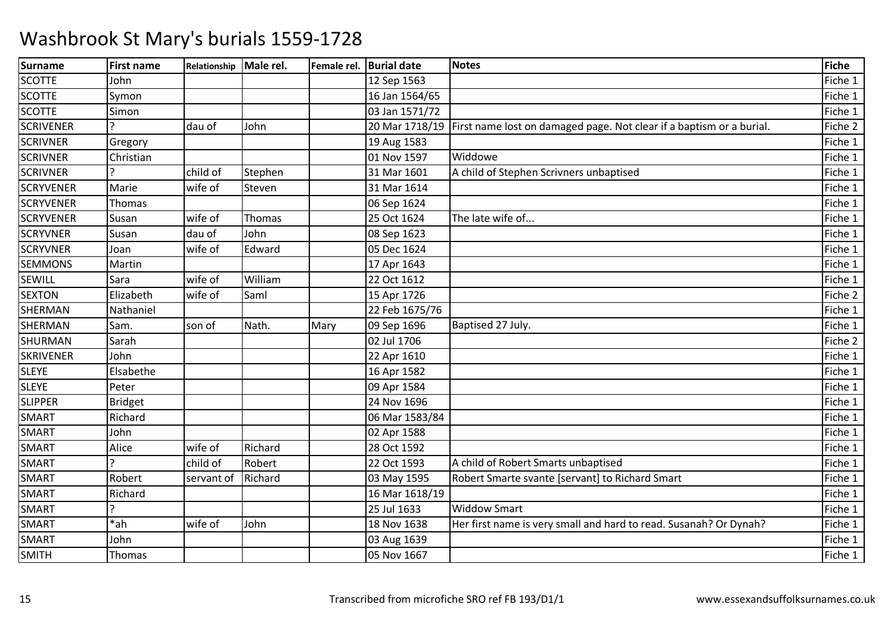| <b>Surname</b>   | <b>First name</b> | Relationship | Male rel. |      | Female rel. Burial date | <b>Notes</b>                                                                        | <b>Fiche</b> |
|------------------|-------------------|--------------|-----------|------|-------------------------|-------------------------------------------------------------------------------------|--------------|
| <b>SCOTTE</b>    | John              |              |           |      | 12 Sep 1563             |                                                                                     | Fiche 1      |
| <b>SCOTTE</b>    | Symon             |              |           |      | 16 Jan 1564/65          |                                                                                     | Fiche 1      |
| <b>SCOTTE</b>    | Simon             |              |           |      | 03 Jan 1571/72          |                                                                                     | Fiche 1      |
| <b>SCRIVENER</b> |                   | dau of       | John      |      |                         | 20 Mar 1718/19 First name lost on damaged page. Not clear if a baptism or a burial. | Fiche 2      |
| <b>SCRIVNER</b>  | Gregory           |              |           |      | 19 Aug 1583             |                                                                                     | Fiche 1      |
| <b>SCRIVNER</b>  | Christian         |              |           |      | 01 Nov 1597             | Widdowe                                                                             | Fiche 1      |
| <b>SCRIVNER</b>  |                   | child of     | Stephen   |      | 31 Mar 1601             | A child of Stephen Scrivners unbaptised                                             | Fiche 1      |
| <b>SCRYVENER</b> | Marie             | wife of      | Steven    |      | 31 Mar 1614             |                                                                                     | Fiche 1      |
| <b>SCRYVENER</b> | Thomas            |              |           |      | 06 Sep 1624             |                                                                                     | Fiche 1      |
| <b>SCRYVENER</b> | Susan             | wife of      | Thomas    |      | 25 Oct 1624             | The late wife of                                                                    | Fiche 1      |
| <b>SCRYVNER</b>  | Susan             | dau of       | John      |      | 08 Sep 1623             |                                                                                     | Fiche 1      |
| <b>SCRYVNER</b>  | Joan              | wife of      | Edward    |      | 05 Dec 1624             |                                                                                     | Fiche 1      |
| <b>SEMMONS</b>   | Martin            |              |           |      | 17 Apr 1643             |                                                                                     | Fiche 1      |
| SEWILL           | Sara              | wife of      | William   |      | 22 Oct 1612             |                                                                                     | Fiche 1      |
| <b>SEXTON</b>    | Elizabeth         | wife of      | Saml      |      | 15 Apr 1726             |                                                                                     | Fiche 2      |
| SHERMAN          | Nathaniel         |              |           |      | 22 Feb 1675/76          |                                                                                     | Fiche 1      |
| SHERMAN          | Sam.              | son of       | Nath.     | Mary | 09 Sep 1696             | Baptised 27 July.                                                                   | Fiche 1      |
| SHURMAN          | Sarah             |              |           |      | 02 Jul 1706             |                                                                                     | Fiche 2      |
| <b>SKRIVENER</b> | John              |              |           |      | 22 Apr 1610             |                                                                                     | Fiche 1      |
| <b>SLEYE</b>     | Elsabethe         |              |           |      | 16 Apr 1582             |                                                                                     | Fiche 1      |
| <b>SLEYE</b>     | Peter             |              |           |      | 09 Apr 1584             |                                                                                     | Fiche 1      |
| <b>SLIPPER</b>   | <b>Bridget</b>    |              |           |      | 24 Nov 1696             |                                                                                     | Fiche 1      |
| <b>SMART</b>     | Richard           |              |           |      | 06 Mar 1583/84          |                                                                                     | Fiche 1      |
| <b>SMART</b>     | John              |              |           |      | 02 Apr 1588             |                                                                                     | Fiche 1      |
| <b>SMART</b>     | Alice             | wife of      | Richard   |      | 28 Oct 1592             |                                                                                     | Fiche 1      |
| <b>SMART</b>     |                   | child of     | Robert    |      | 22 Oct 1593             | A child of Robert Smarts unbaptised                                                 | Fiche 1      |
| <b>SMART</b>     | Robert            | servant of   | Richard   |      | 03 May 1595             | Robert Smarte svante [servant] to Richard Smart                                     | Fiche 1      |
| <b>SMART</b>     | Richard           |              |           |      | 16 Mar 1618/19          |                                                                                     | Fiche 1      |
| <b>SMART</b>     |                   |              |           |      | 25 Jul 1633             | <b>Widdow Smart</b>                                                                 | Fiche 1      |
| <b>SMART</b>     | *ah               | wife of      | John      |      | 18 Nov 1638             | Her first name is very small and hard to read. Susanah? Or Dynah?                   | Fiche 1      |
| <b>SMART</b>     | John              |              |           |      | 03 Aug 1639             |                                                                                     | Fiche 1      |
| <b>SMITH</b>     | Thomas            |              |           |      | 05 Nov 1667             |                                                                                     | Fiche 1      |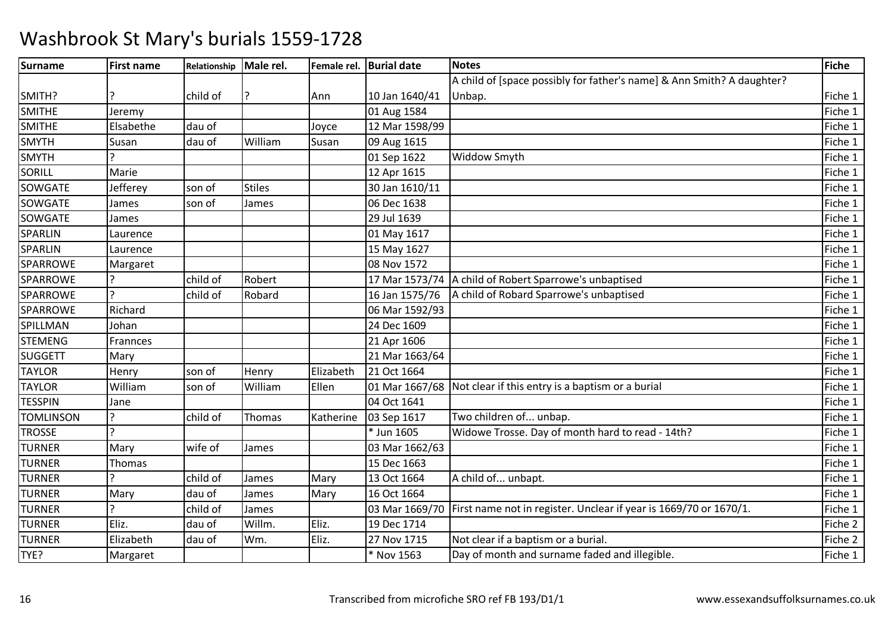| <b>Surname</b>   | <b>First name</b> | Relationship | Male rel.     |           | Female rel. Burial date | <b>Notes</b>                                                                       | Fiche   |
|------------------|-------------------|--------------|---------------|-----------|-------------------------|------------------------------------------------------------------------------------|---------|
|                  |                   |              |               |           |                         | A child of [space possibly for father's name] & Ann Smith? A daughter?             |         |
| SMITH?           |                   | child of     |               | Ann       | 10 Jan 1640/41          | Unbap.                                                                             | Fiche 1 |
| <b>SMITHE</b>    | Jeremy            |              |               |           | 01 Aug 1584             |                                                                                    | Fiche 1 |
| <b>SMITHE</b>    | Elsabethe         | dau of       |               | Joyce     | 12 Mar 1598/99          |                                                                                    | Fiche 1 |
| <b>SMYTH</b>     | Susan             | dau of       | William       | Susan     | 09 Aug 1615             |                                                                                    | Fiche 1 |
| <b>SMYTH</b>     |                   |              |               |           | 01 Sep 1622             | Widdow Smyth                                                                       | Fiche 1 |
| SORILL           | Marie             |              |               |           | 12 Apr 1615             |                                                                                    | Fiche 1 |
| SOWGATE          | Jefferey          | son of       | <b>Stiles</b> |           | 30 Jan 1610/11          |                                                                                    | Fiche 1 |
| SOWGATE          | James             | son of       | James         |           | 06 Dec 1638             |                                                                                    | Fiche 1 |
| SOWGATE          | James             |              |               |           | 29 Jul 1639             |                                                                                    | Fiche 1 |
| SPARLIN          | Laurence          |              |               |           | 01 May 1617             |                                                                                    | Fiche 1 |
| SPARLIN          | Laurence          |              |               |           | 15 May 1627             |                                                                                    | Fiche 1 |
| SPARROWE         | Margaret          |              |               |           | 08 Nov 1572             |                                                                                    | Fiche 1 |
| SPARROWE         |                   | child of     | Robert        |           |                         | 17 Mar 1573/74 A child of Robert Sparrowe's unbaptised                             | Fiche 1 |
| <b>SPARROWE</b>  |                   | child of     | Robard        |           | 16 Jan 1575/76          | A child of Robard Sparrowe's unbaptised                                            | Fiche 1 |
| <b>SPARROWE</b>  | Richard           |              |               |           | 06 Mar 1592/93          |                                                                                    | Fiche 1 |
| SPILLMAN         | Johan             |              |               |           | 24 Dec 1609             |                                                                                    | Fiche 1 |
| <b>STEMENG</b>   | Frannces          |              |               |           | 21 Apr 1606             |                                                                                    | Fiche 1 |
| <b>SUGGETT</b>   | Mary              |              |               |           | 21 Mar 1663/64          |                                                                                    | Fiche 1 |
| <b>TAYLOR</b>    | Henry             | son of       | Henry         | Elizabeth | 21 Oct 1664             |                                                                                    | Fiche 1 |
| <b>TAYLOR</b>    | William           | son of       | William       | Ellen     |                         | 01 Mar 1667/68 Not clear if this entry is a baptism or a burial                    | Fiche 1 |
| <b>TESSPIN</b>   | Jane              |              |               |           | 04 Oct 1641             |                                                                                    | Fiche 1 |
| <b>TOMLINSON</b> |                   | child of     | Thomas        | Katherine | 03 Sep 1617             | Two children of unbap.                                                             | Fiche 1 |
| <b>TROSSE</b>    |                   |              |               |           | * Jun 1605              | Widowe Trosse. Day of month hard to read - 14th?                                   | Fiche 1 |
| <b>TURNER</b>    | Mary              | wife of      | James         |           | 03 Mar 1662/63          |                                                                                    | Fiche 1 |
| <b>TURNER</b>    | Thomas            |              |               |           | 15 Dec 1663             |                                                                                    | Fiche 1 |
| <b>TURNER</b>    |                   | child of     | James         | Mary      | 13 Oct 1664             | A child of unbapt.                                                                 | Fiche 1 |
| <b>TURNER</b>    | Mary              | dau of       | James         | Mary      | 16 Oct 1664             |                                                                                    | Fiche 1 |
| <b>TURNER</b>    |                   | child of     | James         |           |                         | 03 Mar 1669/70   First name not in register. Unclear if year is 1669/70 or 1670/1. | Fiche 1 |
| <b>TURNER</b>    | Eliz.             | dau of       | Willm.        | Eliz.     | 19 Dec 1714             |                                                                                    | Fiche 2 |
| <b>TURNER</b>    | Elizabeth         | dau of       | Wm.           | Eliz.     | 27 Nov 1715             | Not clear if a baptism or a burial.                                                | Fiche 2 |
| TYE?             | Margaret          |              |               |           | * Nov 1563              | Day of month and surname faded and illegible.                                      | Fiche 1 |